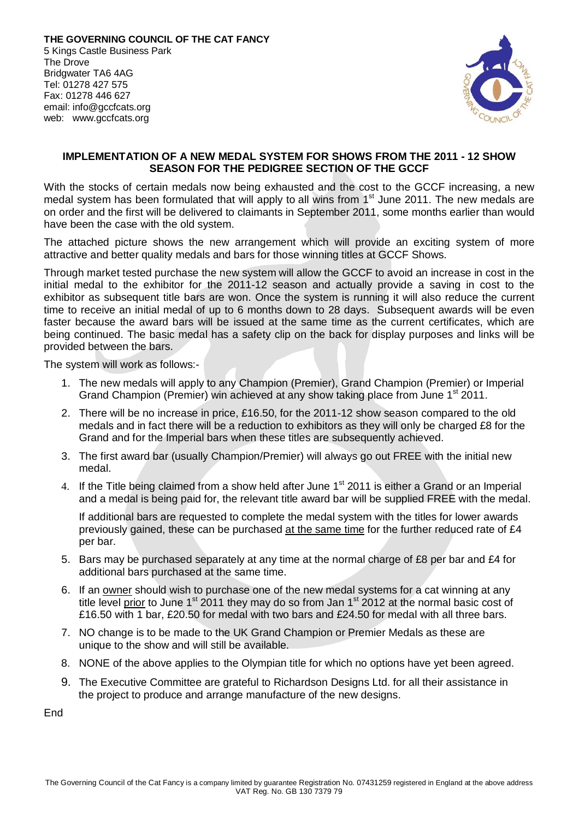

## **IMPLEMENTATION OF A NEW MEDAL SYSTEM FOR SHOWS FROM THE 2011 - 12 SHOW SEASON FOR THE PEDIGREE SECTION OF THE GCCF**

With the stocks of certain medals now being exhausted and the cost to the GCCF increasing, a new medal system has been formulated that will apply to all wins from  $1<sup>st</sup>$  June 2011. The new medals are on order and the first will be delivered to claimants in September 2011, some months earlier than would have been the case with the old system.

The attached picture shows the new arrangement which will provide an exciting system of more attractive and better quality medals and bars for those winning titles at GCCF Shows.

Through market tested purchase the new system will allow the GCCF to avoid an increase in cost in the initial medal to the exhibitor for the 2011-12 season and actually provide a saving in cost to the exhibitor as subsequent title bars are won. Once the system is running it will also reduce the current time to receive an initial medal of up to 6 months down to 28 days. Subsequent awards will be even faster because the award bars will be issued at the same time as the current certificates, which are being continued. The basic medal has a safety clip on the back for display purposes and links will be provided between the bars.

The system will work as follows:-

- 1. The new medals will apply to any Champion (Premier), Grand Champion (Premier) or Imperial Grand Champion (Premier) win achieved at any show taking place from June 1<sup>st</sup> 2011.
- 2. There will be no increase in price, £16.50, for the 2011-12 show season compared to the old medals and in fact there will be a reduction to exhibitors as they will only be charged £8 for the Grand and for the Imperial bars when these titles are subsequently achieved.
- 3. The first award bar (usually Champion/Premier) will always go out FREE with the initial new medal.
- 4. If the Title being claimed from a show held after June 1<sup>st</sup> 2011 is either a Grand or an Imperial and a medal is being paid for, the relevant title award bar will be supplied FREE with the medal.

 If additional bars are requested to complete the medal system with the titles for lower awards previously gained, these can be purchased at the same time for the further reduced rate of £4 per bar.

- 5. Bars may be purchased separately at any time at the normal charge of £8 per bar and £4 for additional bars purchased at the same time.
- 6. If an owner should wish to purchase one of the new medal systems for a cat winning at any title level prior to June  $1<sup>st</sup>$  2011 they may do so from Jan  $1<sup>st</sup>$  2012 at the normal basic cost of £16.50 with 1 bar, £20.50 for medal with two bars and £24.50 for medal with all three bars.
- 7. NO change is to be made to the UK Grand Champion or Premier Medals as these are unique to the show and will still be available.
- 8. NONE of the above applies to the Olympian title for which no options have yet been agreed.
- 9. The Executive Committee are grateful to Richardson Designs Ltd. for all their assistance in the project to produce and arrange manufacture of the new designs.

**End**